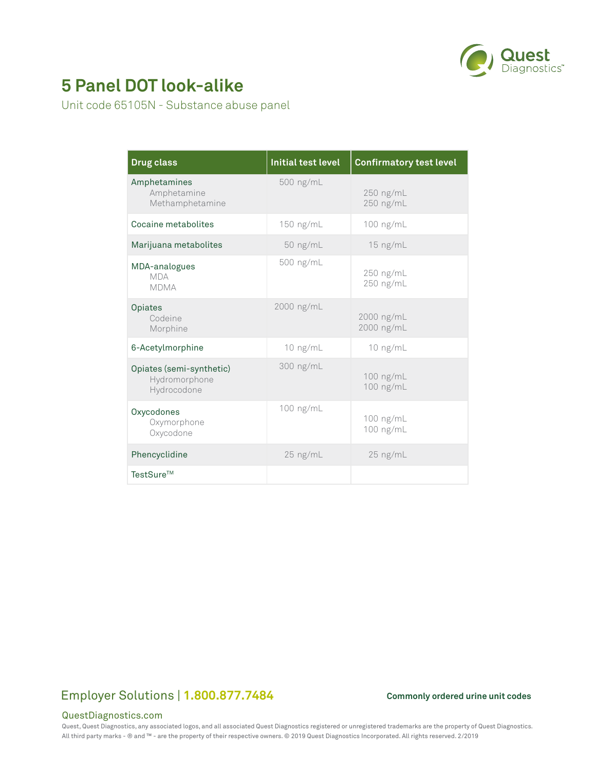

# **5 Panel DOT look-alike**

Unit code 65105N - Substance abuse panel

| <b>Drug class</b>                                        | <b>Initial test level</b> | <b>Confirmatory test level</b> |
|----------------------------------------------------------|---------------------------|--------------------------------|
| Amphetamines<br>Amphetamine<br>Methamphetamine           | 500 ng/mL                 | 250 ng/mL<br>250 ng/mL         |
| Cocaine metabolites                                      | 150 ng/mL                 | 100 ng/mL                      |
| Marijuana metabolites                                    | $50$ ng/mL                | $15$ ng/mL                     |
| MDA-analogues<br><b>MDA</b><br><b>MDMA</b>               | 500 ng/mL                 | 250 ng/mL<br>250 ng/mL         |
| Opiates<br>Codeine<br>Morphine                           | 2000 ng/mL                | 2000 ng/mL<br>2000 ng/mL       |
| 6-Acetylmorphine                                         | $10$ ng/mL                | 10 ng/mL                       |
| Opiates (semi-synthetic)<br>Hydromorphone<br>Hydrocodone | 300 ng/mL                 | 100 ng/mL<br>100 ng/mL         |
| Oxycodones<br>Oxymorphone<br>Oxycodone                   | 100 ng/mL                 | 100 ng/mL<br>100 ng/mL         |
| Phencyclidine                                            | $25$ ng/mL                | $25$ ng/mL                     |
| TestSure™                                                |                           |                                |

## Employer Solutions | 1.800.877.7484 Commonly ordered urine unit codes

### QuestDiagnostics.com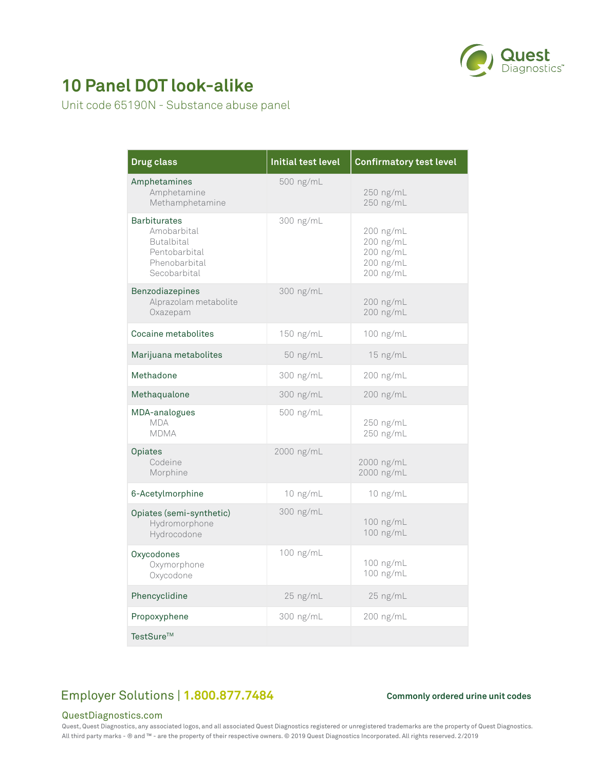

# **10 Panel DOT look-alike**

Unit code 65190N - Substance abuse panel

| <b>Drug class</b>                                                                                         | <b>Initial test level</b> | <b>Confirmatory test level</b>                                |
|-----------------------------------------------------------------------------------------------------------|---------------------------|---------------------------------------------------------------|
| Amphetamines<br>Amphetamine<br>Methamphetamine                                                            | 500 ng/mL                 | 250 ng/mL<br>250 ng/mL                                        |
| <b>Barbiturates</b><br>Amobarbital<br><b>Butalbital</b><br>Pentobarbital<br>Phenobarbital<br>Secobarbital | 300 ng/mL                 | 200 ng/mL<br>200 ng/mL<br>200 ng/mL<br>200 ng/mL<br>200 ng/mL |
| <b>Benzodiazepines</b><br>Alprazolam metabolite<br>Oxazepam                                               | 300 ng/mL                 | 200 ng/mL<br>200 ng/mL                                        |
| Cocaine metabolites                                                                                       | 150 ng/mL                 | 100 ng/mL                                                     |
| Marijuana metabolites                                                                                     | 50 ng/mL                  | 15 ng/mL                                                      |
| Methadone                                                                                                 | 300 ng/mL                 | 200 ng/mL                                                     |
| Methaqualone                                                                                              | 300 ng/mL                 | 200 ng/mL                                                     |
| MDA-analogues<br><b>MDA</b><br><b>MDMA</b>                                                                | 500 ng/mL                 | 250 ng/mL<br>250 ng/mL                                        |
| Opiates<br>Codeine<br>Morphine                                                                            | 2000 ng/mL                | 2000 ng/mL<br>2000 ng/mL                                      |
| 6-Acetylmorphine                                                                                          | 10 ng/mL                  | 10 ng/mL                                                      |
| Opiates (semi-synthetic)<br>Hydromorphone<br>Hydrocodone                                                  | 300 ng/mL                 | 100 ng/mL<br>100 ng/mL                                        |
| Oxycodones<br>Oxymorphone<br>Oxycodone                                                                    | 100 ng/mL                 | 100 ng/mL<br>100 ng/mL                                        |
| Phencyclidine                                                                                             | 25 ng/mL                  | 25 ng/mL                                                      |
| Propoxyphene                                                                                              | 300 ng/mL                 | 200 ng/mL                                                     |
| TestSure™                                                                                                 |                           |                                                               |

## Employer Solutions | 1.800.877.7484 Commonly ordered urine unit codes

### QuestDiagnostics.com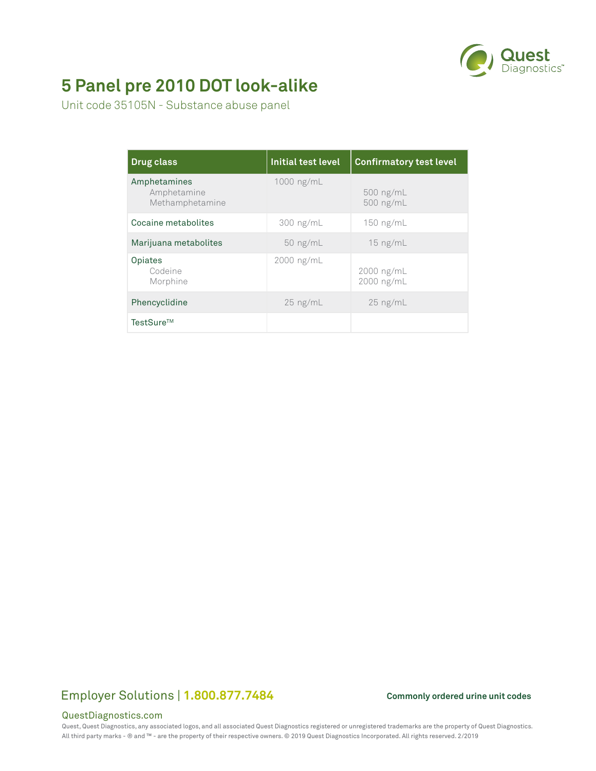

# **5 Panel pre 2010 DOT look-alike**

Unit code 35105N - Substance abuse panel

| <b>Drug class</b>                              | <b>Initial test level</b> | <b>Confirmatory test level</b> |
|------------------------------------------------|---------------------------|--------------------------------|
| Amphetamines<br>Amphetamine<br>Methamphetamine | 1000 ng/mL                | $500$ ng/mL<br>500 ng/mL       |
| Cocaine metabolites                            | $300$ ng/mL               | $150$ ng/mL                    |
| Marijuana metabolites                          | $50$ ng/mL                | $15$ ng/mL                     |
| Opiates<br>Codeine<br>Morphine                 | 2000 ng/mL                | $2000$ ng/mL<br>2000 ng/mL     |
| Phencyclidine                                  | $25$ ng/mL                | $25$ ng/mL                     |
| TestSure™                                      |                           |                                |

## Employer Solutions | 1.800.877.7484 Commonly ordered urine unit codes

### QuestDiagnostics.com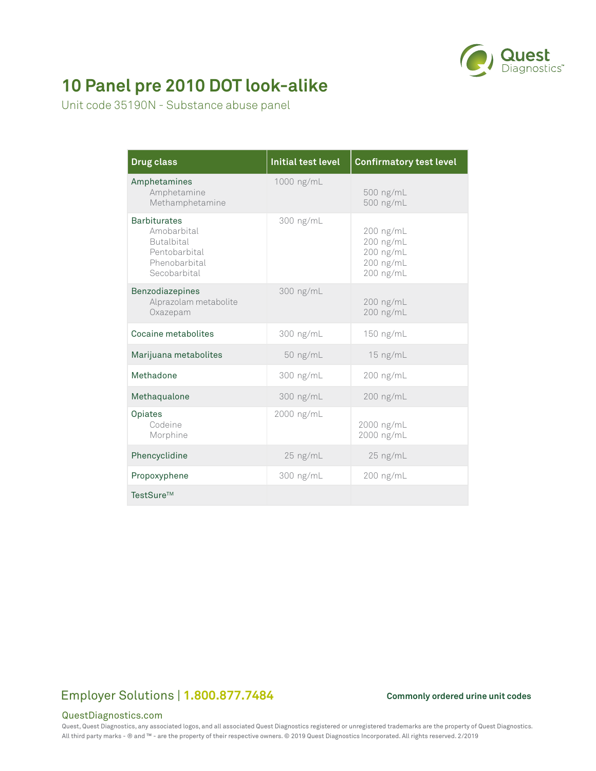

# **10 Panel pre 2010 DOT look-alike**

Unit code 35190N - Substance abuse panel

| <b>Drug class</b>                                                                                         | <b>Initial test level</b> | <b>Confirmatory test level</b>                                  |
|-----------------------------------------------------------------------------------------------------------|---------------------------|-----------------------------------------------------------------|
| Amphetamines<br>Amphetamine<br>Methamphetamine                                                            | 1000 ng/mL                | 500 ng/mL<br>500 ng/mL                                          |
| <b>Barbiturates</b><br>Amobarbital<br><b>Butalbital</b><br>Pentobarbital<br>Phenobarbital<br>Secobarbital | 300 ng/mL                 | $200$ ng/mL<br>200 ng/mL<br>200 ng/mL<br>200 ng/mL<br>200 ng/mL |
| Benzodiazepines<br>Alprazolam metabolite<br>Oxazepam                                                      | 300 ng/mL                 | 200 ng/mL<br>200 ng/mL                                          |
| Cocaine metabolites                                                                                       | 300 ng/mL                 | 150 ng/mL                                                       |
| Marijuana metabolites                                                                                     | 50 ng/mL                  | 15 ng/mL                                                        |
| Methadone                                                                                                 | 300 ng/mL                 | 200 ng/mL                                                       |
| Methaqualone                                                                                              | 300 ng/mL                 | 200 ng/mL                                                       |
| Opiates<br>Codeine<br>Morphine                                                                            | 2000 ng/mL                | 2000 ng/mL<br>2000 ng/mL                                        |
| Phencyclidine                                                                                             | $25$ ng/mL                | 25 ng/mL                                                        |
| Propoxyphene                                                                                              | 300 ng/mL                 | 200 ng/mL                                                       |
| TestSure™                                                                                                 |                           |                                                                 |

### Employer Solutions | 1.800.877.7484 Commonly ordered urine unit codes

### QuestDiagnostics.com